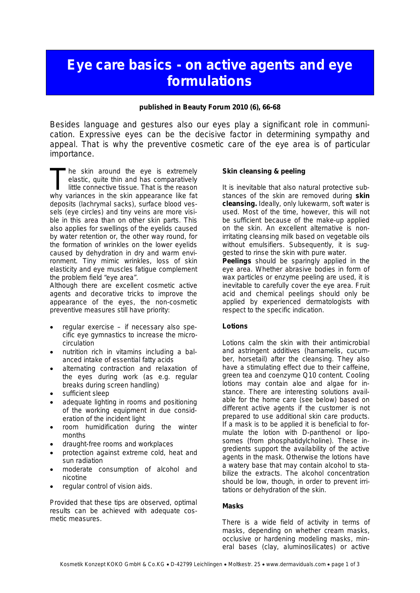# **Eye care basics - on active agents and eye formulations**

#### **published in Beauty Forum 2010 (6), 66-68**

Besides language and gestures also our eyes play a significant role in communication. Expressive eyes can be the decisive factor in determining sympathy and appeal. That is why the preventive cosmetic care of the eye area is of particular importance.

he skin around the eye is extremely elastic, quite thin and has comparatively little connective tissue. That is the reason The skin around the eye is extremely elastic, quite thin and has comparatively little connective tissue. That is the reason why variances in the skin appearance like fat deposits (lachrymal sacks), surface blood vessels (eye circles) and tiny veins are more visible in this area than on other skin parts. This also applies for swellings of the eyelids caused by water retention or, the other way round, for the formation of wrinkles on the lower eyelids caused by dehydration in dry and warm environment. Tiny mimic wrinkles, loss of skin elasticity and eye muscles fatigue complement the problem field "eye area".

Although there are excellent cosmetic active agents and decorative tricks to improve the appearance of the eyes, the non-cosmetic preventive measures still have priority:

- · regular exercise if necessary also specific eye gymnastics to increase the microcirculation
- nutrition rich in vitamins including a balanced intake of essential fatty acids
- alternating contraction and relaxation of the eyes during work (as e.g. regular breaks during screen handling)
- sufficient sleep
- adequate lighting in rooms and positioning of the working equipment in due consideration of the incident light
- · room humidification during the winter months
- draught-free rooms and workplaces
- · protection against extreme cold, heat and sun radiation
- moderate consumption of alcohol and nicotine
- regular control of vision aids.

Provided that these tips are observed, optimal results can be achieved with adequate cosmetic measures.

## **Skin cleansing & peeling**

respect to the specific indication.

It is inevitable that also natural protective substances of the skin are removed during **skin cleansing.** Ideally, only lukewarm, soft water is used. Most of the time, however, this will not be sufficient because of the make-up applied on the skin. An excellent alternative is nonirritating cleansing milk based on vegetable oils without emulsifiers. Subsequently, it is suggested to rinse the skin with pure water. **Peelings** should be sparingly applied in the eye area. Whether abrasive bodies in form of wax particles or enzyme peeling are used, it is inevitable to carefully cover the eye area. Fruit acid and chemical peelings should only be applied by experienced dermatologists with

## **Lotions**

Lotions calm the skin with their antimicrobial and astringent additives (hamamelis, cucumber, horsetail) after the cleansing. They also have a stimulating effect due to their caffeine, green tea and coenzyme Q10 content. Cooling lotions may contain aloe and algae for instance. There are interesting solutions available for the home care (see below) based on different active agents if the customer is not prepared to use additional skin care products. If a mask is to be applied it is beneficial to formulate the lotion with D-panthenol or liposomes (from phosphatidylcholine). These ingredients support the availability of the active agents in the mask. Otherwise the lotions have a watery base that may contain alcohol to stabilize the extracts. The alcohol concentration should be low, though, in order to prevent irritations or dehydration of the skin.

#### **Masks**

There is a wide field of activity in terms of masks, depending on whether cream masks, occlusive or hardening modeling masks, mineral bases (clay, aluminosilicates) or active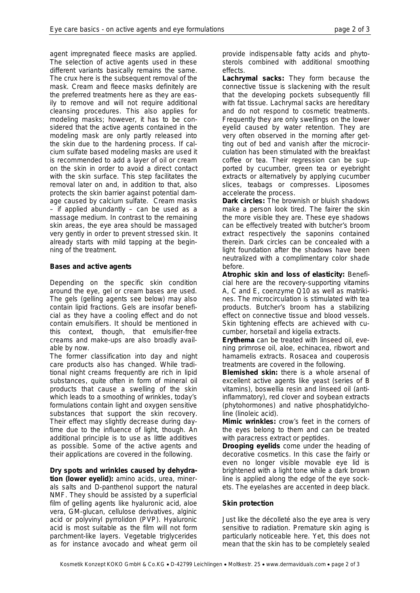agent impregnated fleece masks are applied. The selection of active agents used in these different variants basically remains the same. The crux here is the subsequent removal of the mask. Cream and fleece masks definitely are the preferred treatments here as they are easily to remove and will not require additional cleansing procedures. This also applies for modeling masks; however, it has to be considered that the active agents contained in the modeling mask are only partly released into the skin due to the hardening process. If calcium sulfate based modeling masks are used it is recommended to add a layer of oil or cream on the skin in order to avoid a direct contact with the skin surface. This step facilitates the removal later on and, in addition to that, also protects the skin barrier against potential damage caused by calcium sulfate. Cream masks – if applied abundantly – can be used as a massage medium. In contrast to the remaining skin areas, the eye area should be massaged very gently in order to prevent stressed skin. It already starts with mild tapping at the beginning of the treatment.

#### **Bases and active agents**

Depending on the specific skin condition around the eye, gel or cream bases are used. The gels (gelling agents see below) may also contain lipid fractions. Gels are insofar beneficial as they have a cooling effect and do not contain emulsifiers. It should be mentioned in this context, though, that emulsifier-free creams and make-ups are also broadly available by now.

The former classification into day and night care products also has changed. While traditional night creams frequently are rich in lipid substances, quite often in form of mineral oil products that cause a swelling of the skin which leads to a smoothing of wrinkles, today's formulations contain light and oxygen sensitive substances that support the skin recovery. Their effect may slightly decrease during daytime due to the influence of light, though. An additional principle is to use as little additives as possible. Some of the active agents and their applications are covered in the following.

**Dry spots and wrinkles caused by dehydration (lower eyelid):** amino acids, urea, minerals salts and D-panthenol support the natural NMF. They should be assisted by a superficial film of gelling agents like hyaluronic acid, aloe vera, GM-glucan, cellulose derivatives, alginic acid or polyvinyl pyrrolidon (PVP). Hyaluronic acid is most suitable as the film will not form parchment-like layers. Vegetable triglycerides as for instance avocado and wheat germ oil

provide indispensable fatty acids and phytosterols combined with additional smoothing effects.

**Lachrymal sacks:** They form because the connective tissue is slackening with the result that the developing pockets subsequently fill with fat tissue. Lachrymal sacks are hereditary and do not respond to cosmetic treatments. Frequently they are only swellings on the lower eyelid caused by water retention. They are very often observed in the morning after getting out of bed and vanish after the microcirculation has been stimulated with the breakfast coffee or tea. Their regression can be supported by cucumber, green tea or eyebright extracts or alternatively by applying cucumber slices, teabags or compresses. Liposomes accelerate the process.

**Dark circles:** The brownish or bluish shadows make a person look tired. The fairer the skin the more visible they are. These eye shadows can be effectively treated with butcher's broom extract respectively the saponins contained therein. Dark circles can be concealed with a light foundation after the shadows have been neutralized with a complimentary color shade before.

**Atrophic skin and loss of elasticity:** Beneficial here are the recovery-supporting vitamins A, C and E, coenzyme Q10 as well as matrikines. The microcirculation is stimulated with tea products. Butcher's broom has a stabilizing effect on connective tissue and blood vessels. Skin tightening effects are achieved with cucumber, horsetail and kigelia extracts.

**Erythema** can be treated with linseed oil, evening primrose oil, aloe, echinacea, ribwort and hamamelis extracts. Rosacea and couperosis treatments are covered in the following.

**Blemished skin:** there is a whole arsenal of excellent active agents like yeast (series of B vitamins), boswellia resin and linseed oil (antiinflammatory), red clover and soybean extracts (phytohormones) and native phosphatidylcholine (linoleic acid).

**Mimic wrinkles:** crow's feet in the corners of the eyes belong to them and can be treated with paracress extract or peptides.

**Drooping eyelids** come under the heading of decorative cosmetics. In this case the fairly or even no longer visible movable eye lid is brightened with a light tone while a dark brown line is applied along the edge of the eye sockets. The eyelashes are accented in deep black.

## **Skin protection**

Just like the décolleté also the eye area is very sensitive to radiation. Premature skin aging is particularly noticeable here. Yet, this does not mean that the skin has to be completely sealed